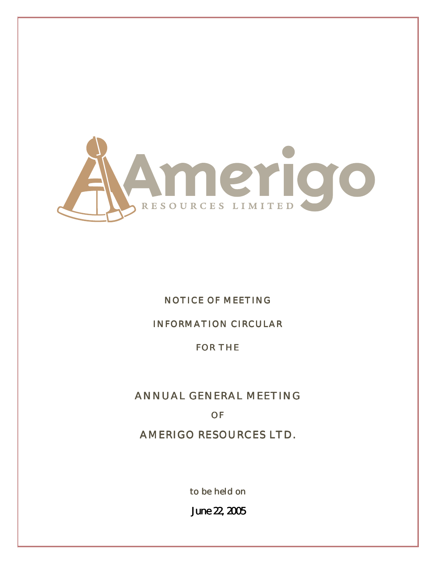

## NOTICE OF MEETING

## INFORMATION CIRCULAR

## FOR THE

# ANNUAL GENERAL MEETING

## OF

AMERIGO RESOURCES LTD.

to be held on

June22, 2005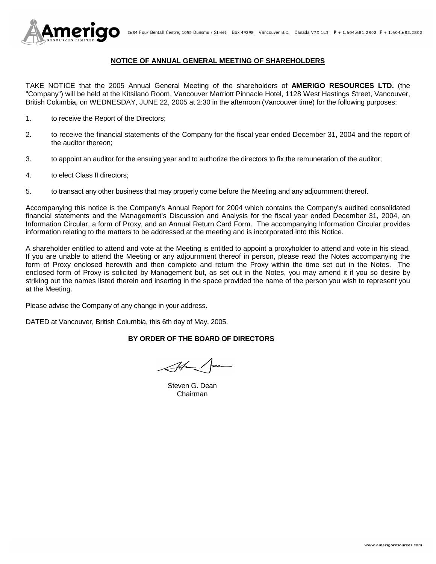

## **NOTICE OF ANNUAL GENERAL MEETING OF SHAREHOLDERS**

TAKE NOTICE that the 2005 Annual General Meeting of the shareholders of **AMERIGO RESOURCES LTD.** (the "Company") will be held at the Kitsilano Room, Vancouver Marriott Pinnacle Hotel, 1128 West Hastings Street, Vancouver, British Columbia, on WEDNESDAY, JUNE 22, 2005 at 2:30 in the afternoon (Vancouver time) for the following purposes:

- 1. to receive the Report of the Directors;
- 2. to receive the financial statements of the Company for the fiscal year ended December 31, 2004 and the report of the auditor thereon;
- 3. to appoint an auditor for the ensuing year and to authorize the directors to fix the remuneration of the auditor;
- 4. to elect Class II directors;
- 5. to transact any other business that may properly come before the Meeting and any adjournment thereof.

Accompanying this notice is the Company's Annual Report for 2004 which contains the Company's audited consolidated financial statements and the Management's Discussion and Analysis for the fiscal year ended December 31, 2004, an Information Circular, a form of Proxy, and an Annual Return Card Form. The accompanying Information Circular provides information relating to the matters to be addressed at the meeting and is incorporated into this Notice.

A shareholder entitled to attend and vote at the Meeting is entitled to appoint a proxyholder to attend and vote in his stead. If you are unable to attend the Meeting or any adjournment thereof in person, please read the Notes accompanying the form of Proxy enclosed herewith and then complete and return the Proxy within the time set out in the Notes. The enclosed form of Proxy is solicited by Management but, as set out in the Notes, you may amend it if you so desire by striking out the names listed therein and inserting in the space provided the name of the person you wish to represent you at the Meeting.

Please advise the Company of any change in your address.

DATED at Vancouver, British Columbia, this 6th day of May, 2005.

## **BY ORDER OF THE BOARD OF DIRECTORS**

 Steven G. Dean Chairman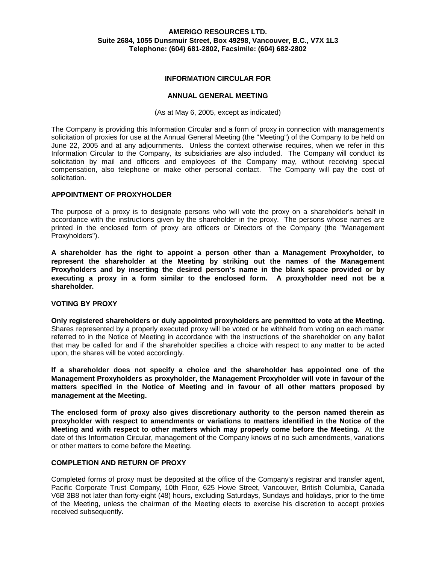## **AMERIGO RESOURCES LTD. Suite 2684, 1055 Dunsmuir Street, Box 49298, Vancouver, B.C., V7X 1L3 Telephone: (604) 681-2802, Facsimile: (604) 682-2802**

### **INFORMATION CIRCULAR FOR**

#### **ANNUAL GENERAL MEETING**

(As at May 6, 2005, except as indicated)

The Company is providing this Information Circular and a form of proxy in connection with management's solicitation of proxies for use at the Annual General Meeting (the "Meeting") of the Company to be held on June 22, 2005 and at any adjournments. Unless the context otherwise requires, when we refer in this Information Circular to the Company, its subsidiaries are also included. The Company will conduct its solicitation by mail and officers and employees of the Company may, without receiving special compensation, also telephone or make other personal contact. The Company will pay the cost of solicitation.

### **APPOINTMENT OF PROXYHOLDER**

The purpose of a proxy is to designate persons who will vote the proxy on a shareholder's behalf in accordance with the instructions given by the shareholder in the proxy. The persons whose names are printed in the enclosed form of proxy are officers or Directors of the Company (the "Management Proxyholders").

**A shareholder has the right to appoint a person other than a Management Proxyholder, to represent the shareholder at the Meeting by striking out the names of the Management Proxyholders and by inserting the desired person's name in the blank space provided or by executing a proxy in a form similar to the enclosed form. A proxyholder need not be a shareholder.**

### **VOTING BY PROXY**

**Only registered shareholders or duly appointed proxyholders are permitted to vote at the Meeting.**  Shares represented by a properly executed proxy will be voted or be withheld from voting on each matter referred to in the Notice of Meeting in accordance with the instructions of the shareholder on any ballot that may be called for and if the shareholder specifies a choice with respect to any matter to be acted upon, the shares will be voted accordingly.

**If a shareholder does not specify a choice and the shareholder has appointed one of the Management Proxyholders as proxyholder, the Management Proxyholder will vote in favour of the matters specified in the Notice of Meeting and in favour of all other matters proposed by management at the Meeting.** 

**The enclosed form of proxy also gives discretionary authority to the person named therein as proxyholder with respect to amendments or variations to matters identified in the Notice of the Meeting and with respect to other matters which may properly come before the Meeting.** At the date of this Information Circular, management of the Company knows of no such amendments, variations or other matters to come before the Meeting.

#### **COMPLETION AND RETURN OF PROXY**

Completed forms of proxy must be deposited at the office of the Company's registrar and transfer agent, Pacific Corporate Trust Company, 10th Floor, 625 Howe Street, Vancouver, British Columbia, Canada V6B 3B8 not later than forty-eight (48) hours, excluding Saturdays, Sundays and holidays, prior to the time of the Meeting, unless the chairman of the Meeting elects to exercise his discretion to accept proxies received subsequently.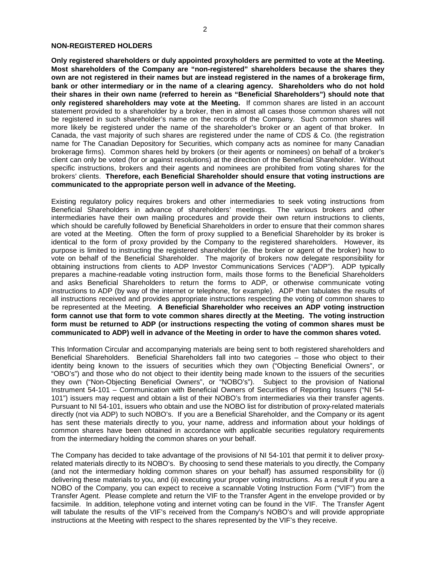#### **NON-REGISTERED HOLDERS**

**Only registered shareholders or duly appointed proxyholders are permitted to vote at the Meeting. Most shareholders of the Company are "non-registered" shareholders because the shares they own are not registered in their names but are instead registered in the names of a brokerage firm, bank or other intermediary or in the name of a clearing agency. Shareholders who do not hold their shares in their own name (referred to herein as "Beneficial Shareholders") should note that only registered shareholders may vote at the Meeting.** If common shares are listed in an account statement provided to a shareholder by a broker, then in almost all cases those common shares will not be registered in such shareholder's name on the records of the Company. Such common shares will more likely be registered under the name of the shareholder's broker or an agent of that broker. In Canada, the vast majority of such shares are registered under the name of CDS & Co. (the registration name for The Canadian Depository for Securities, which company acts as nominee for many Canadian brokerage firms). Common shares held by brokers (or their agents or nominees) on behalf of a broker's client can only be voted (for or against resolutions) at the direction of the Beneficial Shareholder. Without specific instructions, brokers and their agents and nominees are prohibited from voting shares for the brokers' clients. **Therefore, each Beneficial Shareholder should ensure that voting instructions are communicated to the appropriate person well in advance of the Meeting.**

Existing regulatory policy requires brokers and other intermediaries to seek voting instructions from Beneficial Shareholders in advance of shareholders' meetings. The various brokers and other intermediaries have their own mailing procedures and provide their own return instructions to clients, which should be carefully followed by Beneficial Shareholders in order to ensure that their common shares are voted at the Meeting. Often the form of proxy supplied to a Beneficial Shareholder by its broker is identical to the form of proxy provided by the Company to the registered shareholders. However, its purpose is limited to instructing the registered shareholder (ie. the broker or agent of the broker) how to vote on behalf of the Beneficial Shareholder. The majority of brokers now delegate responsibility for obtaining instructions from clients to ADP Investor Communications Services ("ADP"). ADP typically prepares a machine-readable voting instruction form, mails those forms to the Beneficial Shareholders and asks Beneficial Shareholders to return the forms to ADP, or otherwise communicate voting instructions to ADP (by way of the internet or telephone, for example). ADP then tabulates the results of all instructions received and provides appropriate instructions respecting the voting of common shares to be represented at the Meeting. **A Beneficial Shareholder who receives an ADP voting instruction form cannot use that form to vote common shares directly at the Meeting. The voting instruction form must be returned to ADP (or instructions respecting the voting of common shares must be communicated to ADP) well in advance of the Meeting in order to have the common shares voted.** 

This Information Circular and accompanying materials are being sent to both registered shareholders and Beneficial Shareholders. Beneficial Shareholders fall into two categories – those who object to their identity being known to the issuers of securities which they own ("Objecting Beneficial Owners", or "OBO's") and those who do not object to their identity being made known to the issuers of the securities they own ("Non-Objecting Beneficial Owners", or "NOBO's"). Subject to the provision of National Instrument 54-101 – Communication with Beneficial Owners of Securities of Reporting Issuers ("NI 54- 101") issuers may request and obtain a list of their NOBO's from intermediaries via their transfer agents. Pursuant to NI 54-101, issuers who obtain and use the NOBO list for distribution of proxy-related materials directly (not via ADP) to such NOBO's. If you are a Beneficial Shareholder, and the Company or its agent has sent these materials directly to you, your name, address and information about your holdings of common shares have been obtained in accordance with applicable securities regulatory requirements from the intermediary holding the common shares on your behalf.

The Company has decided to take advantage of the provisions of NI 54-101 that permit it to deliver proxyrelated materials directly to its NOBO's. By choosing to send these materials to you directly, the Company (and not the intermediary holding common shares on your behalf) has assumed responsibility for (i) delivering these materials to you, and (ii) executing your proper voting instructions. As a result if you are a NOBO of the Company, you can expect to receive a scannable Voting Instruction Form ("VIF") from the Transfer Agent. Please complete and return the VIF to the Transfer Agent in the envelope provided or by facsimile. In addition, telephone voting and internet voting can be found in the VIF. The Transfer Agent will tabulate the results of the VIF's received from the Company's NOBO's and will provide appropriate instructions at the Meeting with respect to the shares represented by the VIF's they receive.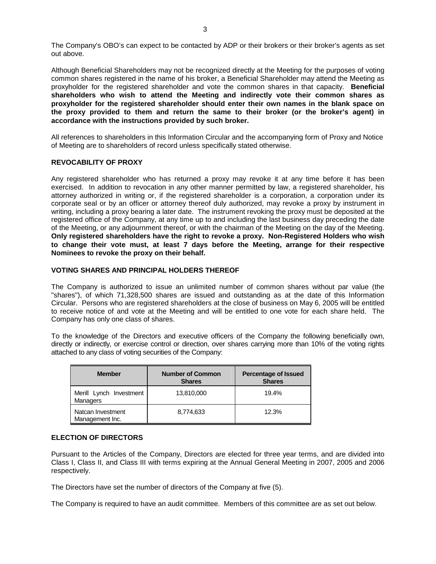The Company's OBO's can expect to be contacted by ADP or their brokers or their broker's agents as set out above.

Although Beneficial Shareholders may not be recognized directly at the Meeting for the purposes of voting common shares registered in the name of his broker, a Beneficial Shareholder may attend the Meeting as proxyholder for the registered shareholder and vote the common shares in that capacity. **Beneficial shareholders who wish to attend the Meeting and indirectly vote their common shares as proxyholder for the registered shareholder should enter their own names in the blank space on the proxy provided to them and return the same to their broker (or the broker's agent) in accordance with the instructions provided by such broker.**

All references to shareholders in this Information Circular and the accompanying form of Proxy and Notice of Meeting are to shareholders of record unless specifically stated otherwise.

## **REVOCABILITY OF PROXY**

Any registered shareholder who has returned a proxy may revoke it at any time before it has been exercised. In addition to revocation in any other manner permitted by law, a registered shareholder, his attorney authorized in writing or, if the registered shareholder is a corporation, a corporation under its corporate seal or by an officer or attorney thereof duly authorized, may revoke a proxy by instrument in writing, including a proxy bearing a later date. The instrument revoking the proxy must be deposited at the registered office of the Company, at any time up to and including the last business day preceding the date of the Meeting, or any adjournment thereof, or with the chairman of the Meeting on the day of the Meeting. **Only registered shareholders have the right to revoke a proxy. Non-Registered Holders who wish to change their vote must, at least 7 days before the Meeting, arrange for their respective Nominees to revoke the proxy on their behalf.** 

## **VOTING SHARES AND PRINCIPAL HOLDERS THEREOF**

The Company is authorized to issue an unlimited number of common shares without par value (the "shares"), of which 71,328,500 shares are issued and outstanding as at the date of this Information Circular. Persons who are registered shareholders at the close of business on May 6, 2005 will be entitled to receive notice of and vote at the Meeting and will be entitled to one vote for each share held. The Company has only one class of shares.

To the knowledge of the Directors and executive officers of the Company the following beneficially own, directly or indirectly, or exercise control or direction, over shares carrying more than 10% of the voting rights attached to any class of voting securities of the Company:

| <b>Member</b>                        | <b>Number of Common</b><br><b>Shares</b> | <b>Percentage of Issued</b><br><b>Shares</b> |
|--------------------------------------|------------------------------------------|----------------------------------------------|
| Merill Lynch Investment<br>Managers  | 13,810,000                               | 19.4%                                        |
| Natcan Investment<br>Management Inc. | 8,774,633                                | 12.3%                                        |

## **ELECTION OF DIRECTORS**

Pursuant to the Articles of the Company, Directors are elected for three year terms, and are divided into Class I, Class II, and Class III with terms expiring at the Annual General Meeting in 2007, 2005 and 2006 respectively.

The Directors have set the number of directors of the Company at five (5).

The Company is required to have an audit committee. Members of this committee are as set out below.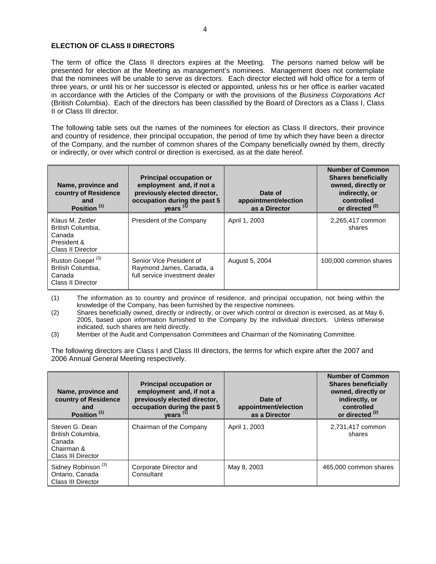### **ELECTION OF CLASS II DIRECTORS**

The term of office the Class II directors expires at the Meeting. The persons named below will be presented for election at the Meeting as management's nominees. Management does not contemplate that the nominees will be unable to serve as directors. Each director elected will hold office for a term of three years, or until his or her successor is elected or appointed, unless his or her office is earlier vacated in accordance with the Articles of the Company or with the provisions of the *Business Corporations Act* (British Columbia). Each of the directors has been classified by the Board of Directors as a Class I, Class II or Class III director.

The following table sets out the names of the nominees for election as Class II directors, their province and country of residence, their principal occupation, the period of time by which they have been a director of the Company, and the number of common shares of the Company beneficially owned by them, directly or indirectly, or over which control or direction is exercised, as at the date hereof.

| Name, province and<br>country of Residence<br>and<br>Position <sup>(1)</sup>               | <b>Principal occupation or</b><br>employment and, if not a<br>previously elected director,<br>Date of<br>occupation during the past 5<br>appointment/election<br>years <sup>(1)</sup><br>as a Director |                | <b>Number of Common</b><br><b>Shares beneficially</b><br>owned, directly or<br>indirectly, or<br>controlled<br>or directed <sup>(2)</sup> |
|--------------------------------------------------------------------------------------------|--------------------------------------------------------------------------------------------------------------------------------------------------------------------------------------------------------|----------------|-------------------------------------------------------------------------------------------------------------------------------------------|
| Klaus M. Zeitler<br>British Columbia,<br>Canada<br>President &<br><b>Class II Director</b> | President of the Company                                                                                                                                                                               | April 1, 2003  | 2,265,417 common<br>shares                                                                                                                |
| Ruston Goepel <sup>(3)</sup><br>British Columbia.<br>Canada<br><b>Class II Director</b>    | Senior Vice President of<br>Raymond James, Canada, a<br>full service investment dealer                                                                                                                 | August 5, 2004 | 100,000 common shares                                                                                                                     |

(1) The information as to country and province of residence, and principal occupation, not being within the knowledge of the Company, has been furnished by the respective nominees.

(2) Shares beneficially owned, directly or indirectly, or over which control or direction is exercised, as at May 6, 2005, based upon information furnished to the Company by the individual directors. Unless otherwise indicated, such shares are held directly.

(3) Member of the Audit and Compensation Committees and Chairman of the Nominating Committee.

The following directors are Class I and Class III directors, the terms for which expire after the 2007 and 2006 Annual General Meeting respectively.

| Name, province and<br>country of Residence<br>and<br>Position <sup>(1)</sup>      | <b>Principal occupation or</b><br>employment and, if not a<br>previously elected director,<br>occupation during the past 5<br>years <sup>(1)</sup> | Date of<br>appointment/election<br>as a Director | <b>Number of Common</b><br><b>Shares beneficially</b><br>owned, directly or<br>indirectly, or<br>controlled<br>or directed <sup>(2)</sup> |
|-----------------------------------------------------------------------------------|----------------------------------------------------------------------------------------------------------------------------------------------------|--------------------------------------------------|-------------------------------------------------------------------------------------------------------------------------------------------|
| Steven G. Dean<br>British Columbia,<br>Canada<br>Chairman &<br>Class III Director | Chairman of the Company                                                                                                                            | April 1, 2003                                    | 2,731,417 common<br>shares                                                                                                                |
| Sidney Robinson <sup>(3)</sup><br>Ontario, Canada<br>Class III Director           | Corporate Director and<br>Consultant                                                                                                               | May 8, 2003                                      | 465,000 common shares                                                                                                                     |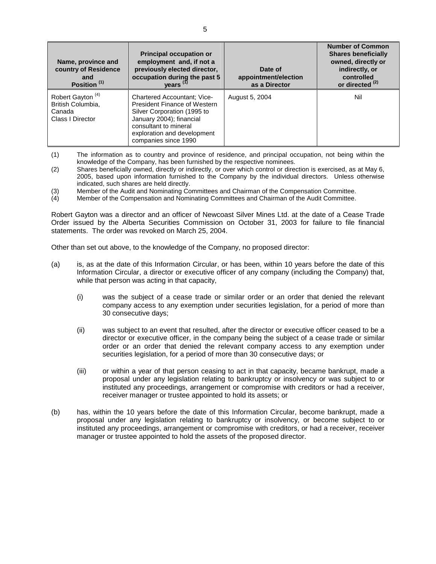| Name, province and<br>country of Residence<br>and<br>Position <sup>(1)</sup>    | <b>Principal occupation or</b><br>employment and, if not a<br>previously elected director,<br>occupation during the past 5<br>years $(1)$                                                                            | Date of<br>appointment/election<br>as a Director | <b>Number of Common</b><br><b>Shares beneficially</b><br>owned, directly or<br>indirectly, or<br>controlled<br>or directed <sup>(2)</sup> |
|---------------------------------------------------------------------------------|----------------------------------------------------------------------------------------------------------------------------------------------------------------------------------------------------------------------|--------------------------------------------------|-------------------------------------------------------------------------------------------------------------------------------------------|
| Robert Gayton <sup>(4)</sup><br>British Columbia,<br>Canada<br>Class I Director | <b>Chartered Accountant: Vice-</b><br><b>President Finance of Western</b><br>Silver Corporation (1995 to<br>January 2004); financial<br>consultant to mineral<br>exploration and development<br>companies since 1990 | August 5, 2004                                   | Nil                                                                                                                                       |

- (1) The information as to country and province of residence, and principal occupation, not being within the knowledge of the Company, has been furnished by the respective nominees.
- (2) Shares beneficially owned, directly or indirectly, or over which control or direction is exercised, as at May 6, 2005, based upon information furnished to the Company by the individual directors. Unless otherwise indicated, such shares are held directly.
- (3) Member of the Audit and Nominating Committees and Chairman of the Compensation Committee.<br>(4) Member of the Compensation and Nominating Committees and Chairman of the Audit Committee.
- Member of the Compensation and Nominating Committees and Chairman of the Audit Committee.

Robert Gayton was a director and an officer of Newcoast Silver Mines Ltd. at the date of a Cease Trade Order issued by the Alberta Securities Commission on October 31, 2003 for failure to file financial statements. The order was revoked on March 25, 2004.

Other than set out above, to the knowledge of the Company, no proposed director:

- (a) is, as at the date of this Information Circular, or has been, within 10 years before the date of this Information Circular, a director or executive officer of any company (including the Company) that, while that person was acting in that capacity,
	- (i) was the subject of a cease trade or similar order or an order that denied the relevant company access to any exemption under securities legislation, for a period of more than 30 consecutive days;
	- (ii) was subject to an event that resulted, after the director or executive officer ceased to be a director or executive officer, in the company being the subject of a cease trade or similar order or an order that denied the relevant company access to any exemption under securities legislation, for a period of more than 30 consecutive days; or
	- (iii) or within a year of that person ceasing to act in that capacity, became bankrupt, made a proposal under any legislation relating to bankruptcy or insolvency or was subject to or instituted any proceedings, arrangement or compromise with creditors or had a receiver, receiver manager or trustee appointed to hold its assets; or
- (b) has, within the 10 years before the date of this Information Circular, become bankrupt, made a proposal under any legislation relating to bankruptcy or insolvency, or become subject to or instituted any proceedings, arrangement or compromise with creditors, or had a receiver, receiver manager or trustee appointed to hold the assets of the proposed director.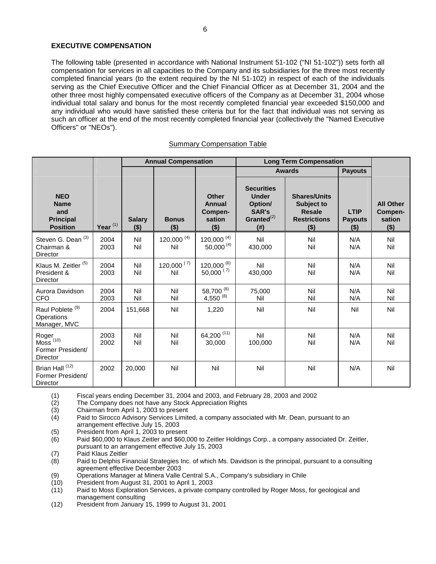## **EXECUTIVE COMPENSATION**

The following table (presented in accordance with National Instrument 51-102 ("NI 51-102")) sets forth all compensation for services in all capacities to the Company and its subsidiaries for the three most recently completed financial years (to the extent required by the NI 51-102) in respect of each of the individuals serving as the Chief Executive Officer and the Chief Financial Officer as at December 31, 2004 and the other three most highly compensated executive officers of the Company as at December 31, 2004 whose individual total salary and bonus for the most recently completed financial year exceeded \$150,000 and any individual who would have satisfied these criteria but for the fact that individual was not serving as such an officer at the end of the most recently completed financial year (collectively the "Named Executive Officers" or "NEOs").

#### Summary Compensation Table

|                                                                         |              | <b>Annual Compensation</b> |                         |                                                      | <b>Long Term Compensation</b>                                                          |                                                                                      |                                   |                                                  |
|-------------------------------------------------------------------------|--------------|----------------------------|-------------------------|------------------------------------------------------|----------------------------------------------------------------------------------------|--------------------------------------------------------------------------------------|-----------------------------------|--------------------------------------------------|
|                                                                         |              |                            |                         |                                                      |                                                                                        | <b>Awards</b>                                                                        | <b>Payouts</b>                    |                                                  |
| <b>NEO</b><br><b>Name</b><br>and<br><b>Principal</b><br><b>Position</b> | Year $(1)$   | <b>Salary</b><br>$($ \$)   | <b>Bonus</b><br>$($ \$) | <b>Other</b><br>Annual<br>Compen-<br>sation<br>( \$) | <b>Securities</b><br><b>Under</b><br>Option/<br>SAR's<br>Granted $^{(2)}$<br>$($ # $)$ | <b>Shares/Units</b><br>Subject to<br><b>Resale</b><br><b>Restrictions</b><br>$($ \$) | LTIP<br><b>Payouts</b><br>$($ \$) | <b>All Other</b><br>Compen-<br>sation<br>$($ \$) |
| Steven G. Dean <sup>(3)</sup><br>Chairman &<br>Director                 | 2004<br>2003 | Nil<br>Nil                 | $120,000^{(4)}$<br>Nil  | 120,000 $(4)$<br>50,000 (4)                          | Nil<br>430,000                                                                         | Nil<br>Nil                                                                           | N/A<br>N/A                        | Nil<br>Nil                                       |
| Klaus M. Zeitler <sup>(5)</sup><br>President &<br><b>Director</b>       | 2004<br>2003 | Nil<br>Nil                 | $120,000^{ (7)}$<br>Nil | $120,000^{(6)}$<br>$50,000^{ (7)}$                   | Nil<br>430,000                                                                         | Nil<br>Nil                                                                           | N/A<br>N/A                        | Nil<br>Nil                                       |
| Aurora Davidson<br><b>CFO</b>                                           | 2004<br>2003 | Nil<br>Nil                 | Nil<br>Nil              | 58,700 (8)<br>$4,550^{(8)}$                          | 75,000<br>Nil                                                                          | Nil<br>Nil                                                                           | N/A<br>N/A                        | Nil<br>Nil                                       |
| Raul Poblete <sup>(9)</sup><br>Operations<br>Manager, MVC               | 2004         | 151,668                    | Nil                     | 1,220                                                | Nil                                                                                    | Nil                                                                                  | Nil                               | Nil                                              |
| Roger<br>$M$ oss $(10)$<br>Former President/<br><b>Director</b>         | 2003<br>2002 | Nil<br>Nil                 | Nil<br>Nil              | 64,200 (11)<br>30,000                                | Nil<br>100,000                                                                         | Nil<br>Nil                                                                           | N/A<br>N/A                        | Nil<br>Nil                                       |
| Brian Hall <sup>(12)</sup><br>Former President/<br><b>Director</b>      | 2002         | 20,000                     | Nil                     | Nil                                                  | Nil                                                                                    | Nil                                                                                  | N/A                               | Nil                                              |

(1) Fiscal years ending December 31, 2004 and 2003, and February 28, 2003 and 2002

The Company does not have any Stock Appreciation Rights

(3) Chairman from April 1, 2003 to present

- (4) Paid to Sirocco Advisory Services Limited, a company associated with Mr. Dean, pursuant to an arrangement effective July 15, 2003
- (5) President from April 1, 2003 to present
- (6) Paid \$60,000 to Klaus Zeitler and \$60,000 to Zeitler Holdings Corp., a company associated Dr. Zeitler, pursuant to an arrangement effective July 15, 2003
- (7) Paid Klaus Zeitler<br>(8) Paid to Delphis Fir
- Paid to Delphis Financial Strategies Inc. of which Ms. Davidson is the principal, pursuant to a consulting agreement effective December 2003
- (9) Operations Manager at Minera Valle Central S.A., Company's subsidiary in Chile
- (10) President from August 31, 2001 to April 1, 2003
- (11) Paid to Moss Exploration Services, a private company controlled by Roger Moss, for geological and management consulting
- (12) President from January 15, 1999 to August 31, 2001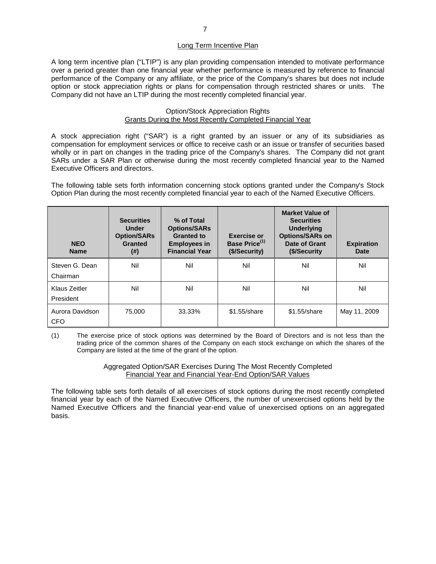### Long Term Incentive Plan

A long term incentive plan ("LTIP") is any plan providing compensation intended to motivate performance over a period greater than one financial year whether performance is measured by reference to financial performance of the Company or any affiliate, or the price of the Company's shares but does not include option or stock appreciation rights or plans for compensation through restricted shares or units. The Company did not have an LTIP during the most recently completed financial year.

#### Option/Stock Appreciation Rights Grants During the Most Recently Completed Financial Year

A stock appreciation right ("SAR") is a right granted by an issuer or any of its subsidiaries as compensation for employment services or office to receive cash or an issue or transfer of securities based wholly or in part on changes in the trading price of the Company's shares. The Company did not grant SARs under a SAR Plan or otherwise during the most recently completed financial year to the Named Executive Officers and directors.

The following table sets forth information concerning stock options granted under the Company's Stock Option Plan during the most recently completed financial year to each of the Named Executive Officers.

| <b>NEO</b><br><b>Name</b>     | <b>Securities</b><br><b>Under</b><br><b>Option/SARs</b><br><b>Granted</b><br>(#) | % of Total<br><b>Options/SARs</b><br><b>Granted to</b><br><b>Employees in</b><br><b>Financial Year</b> | <b>Exercise or</b><br>Base Price <sup>(1)</sup><br>(\$/Security) | <b>Market Value of</b><br><b>Securities</b><br><b>Underlying</b><br><b>Options/SARs on</b><br>Date of Grant<br>(\$/Security) | <b>Expiration</b><br>Date |
|-------------------------------|----------------------------------------------------------------------------------|--------------------------------------------------------------------------------------------------------|------------------------------------------------------------------|------------------------------------------------------------------------------------------------------------------------------|---------------------------|
| Steven G. Dean<br>Chairman    | Nil                                                                              | Nil                                                                                                    | Nil                                                              | Nil                                                                                                                          | Nil                       |
| Klaus Zeitler<br>President    | Nil                                                                              | Nil                                                                                                    | Nil                                                              | Nil                                                                                                                          | Nil                       |
| Aurora Davidson<br><b>CFO</b> | 75,000                                                                           | 33.33%                                                                                                 | $$1.55/s$ hare                                                   | $$1.55$ /share                                                                                                               | May 11, 2009              |

(1) The exercise price of stock options was determined by the Board of Directors and is not less than the trading price of the common shares of the Company on each stock exchange on which the shares of the Company are listed at the time of the grant of the option.

> Aggregated Option/SAR Exercises During The Most Recently Completed Financial Year and Financial Year-End Option/SAR Values

The following table sets forth details of all exercises of stock options during the most recently completed financial year by each of the Named Executive Officers, the number of unexercised options held by the Named Executive Officers and the financial year-end value of unexercised options on an aggregated basis.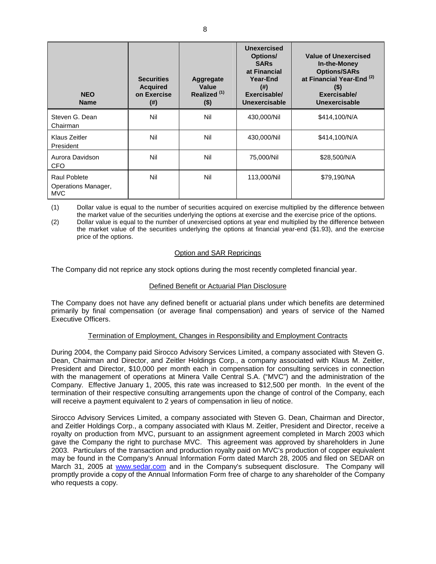| <b>NEO</b><br><b>Name</b>                                | <b>Securities</b><br><b>Acquired</b><br>on Exercise<br>(#) | Aggregate<br>Value<br>Realized <sup>(1)</sup><br>$($ \$) | <b>Unexercised</b><br>Options/<br><b>SARs</b><br>at Financial<br>Year-End<br>(# )<br>Exercisable/<br>Unexercisable | <b>Value of Unexercised</b><br>In-the-Money<br><b>Options/SARs</b><br>at Financial Year-End <sup>(2)</sup><br>$(\$)$<br>Exercisable/<br>Unexercisable |  |
|----------------------------------------------------------|------------------------------------------------------------|----------------------------------------------------------|--------------------------------------------------------------------------------------------------------------------|-------------------------------------------------------------------------------------------------------------------------------------------------------|--|
| Steven G. Dean<br>Chairman                               | Nil                                                        | Nil                                                      | 430,000/Nil                                                                                                        | \$414,100/N/A                                                                                                                                         |  |
| Klaus Zeitler<br>President                               | Nil                                                        |                                                          | 430,000/Nil                                                                                                        | \$414,100/N/A                                                                                                                                         |  |
| Aurora Davidson<br>CFO                                   | Nil                                                        | Nil                                                      | 75,000/Nil                                                                                                         | \$28,500/N/A                                                                                                                                          |  |
| <b>Raul Poblete</b><br>Operations Manager,<br><b>MVC</b> | Nil                                                        | Nil                                                      | 113,000/Nil                                                                                                        | \$79,190/NA                                                                                                                                           |  |

(1) Dollar value is equal to the number of securities acquired on exercise multiplied by the difference between the market value of the securities underlying the options at exercise and the exercise price of the options.

(2) Dollar value is equal to the number of unexercised options at year end multiplied by the difference between the market value of the securities underlying the options at financial year-end (\$1.93), and the exercise price of the options.

## Option and SAR Repricings

The Company did not reprice any stock options during the most recently completed financial year.

## Defined Benefit or Actuarial Plan Disclosure

The Company does not have any defined benefit or actuarial plans under which benefits are determined primarily by final compensation (or average final compensation) and years of service of the Named Executive Officers.

## Termination of Employment, Changes in Responsibility and Employment Contracts

During 2004, the Company paid Sirocco Advisory Services Limited, a company associated with Steven G. Dean, Chairman and Director, and Zeitler Holdings Corp., a company associated with Klaus M. Zeitler, President and Director, \$10,000 per month each in compensation for consulting services in connection with the management of operations at Minera Valle Central S.A. ("MVC") and the administration of the Company. Effective January 1, 2005, this rate was increased to \$12,500 per month. In the event of the termination of their respective consulting arrangements upon the change of control of the Company, each will receive a payment equivalent to 2 years of compensation in lieu of notice.

Sirocco Advisory Services Limited, a company associated with Steven G. Dean, Chairman and Director, and Zeitler Holdings Corp., a company associated with Klaus M. Zeitler, President and Director, receive a royalty on production from MVC, pursuant to an assignment agreement completed in March 2003 which gave the Company the right to purchase MVC. This agreement was approved by shareholders in June 2003. Particulars of the transaction and production royalty paid on MVC's production of copper equivalent may be found in the Company's Annual Information Form dated March 28, 2005 and filed on SEDAR on March 31, 2005 at [www.sedar.com](http://www.sedar.com/) and in the Company's subsequent disclosure. The Company will promptly provide a copy of the Annual Information Form free of charge to any shareholder of the Company who requests a copy.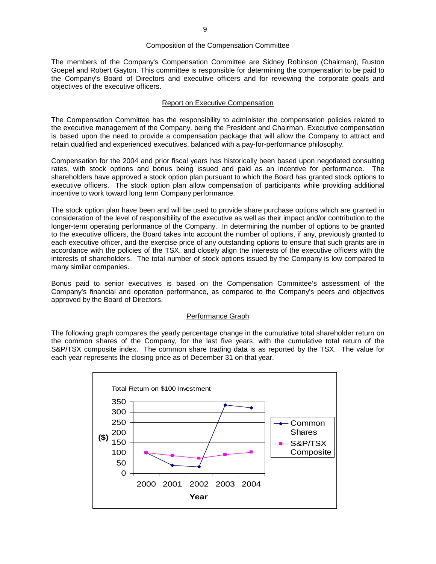#### Composition of the Compensation Committee

The members of the Company's Compensation Committee are Sidney Robinson (Chairman), Ruston Goepel and Robert Gayton. This committee is responsible for determining the compensation to be paid to the Company's Board of Directors and executive officers and for reviewing the corporate goals and objectives of the executive officers.

### Report on Executive Compensation

The Compensation Committee has the responsibility to administer the compensation policies related to the executive management of the Company, being the President and Chairman. Executive compensation is based upon the need to provide a compensation package that will allow the Company to attract and retain qualified and experienced executives, balanced with a pay-for-performance philosophy.

Compensation for the 2004 and prior fiscal years has historically been based upon negotiated consulting rates, with stock options and bonus being issued and paid as an incentive for performance. The shareholders have approved a stock option plan pursuant to which the Board has granted stock options to executive officers. The stock option plan allow compensation of participants while providing additional incentive to work toward long term Company performance.

The stock option plan have been and will be used to provide share purchase options which are granted in consideration of the level of responsibility of the executive as well as their impact and/or contribution to the longer-term operating performance of the Company. In determining the number of options to be granted to the executive officers, the Board takes into account the number of options, if any, previously granted to each executive officer, and the exercise price of any outstanding options to ensure that such grants are in accordance with the policies of the TSX, and closely align the interests of the executive officers with the interests of shareholders. The total number of stock options issued by the Company is low compared to many similar companies.

Bonus paid to senior executives is based on the Compensation Committee's assessment of the Company's financial and operation performance, as compared to the Company's peers and objectives approved by the Board of Directors.

## Performance Graph

The following graph compares the yearly percentage change in the cumulative total shareholder return on the common shares of the Company, for the last five years, with the cumulative total return of the S&P/TSX composite index. The common share trading data is as reported by the TSX. The value for each year represents the closing price as of December 31 on that year.

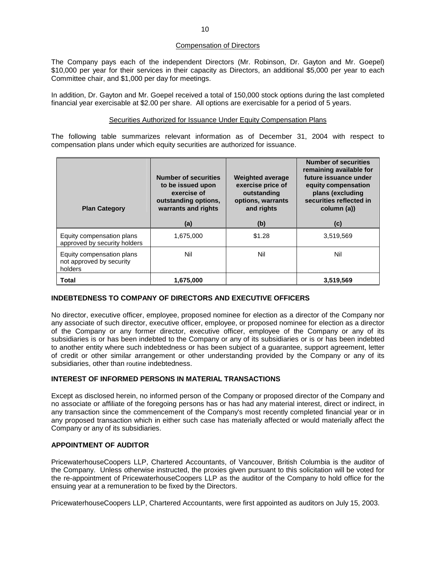### Compensation of Directors

The Company pays each of the independent Directors (Mr. Robinson, Dr. Gayton and Mr. Goepel) \$10,000 per year for their services in their capacity as Directors, an additional \$5,000 per year to each Committee chair, and \$1,000 per day for meetings.

In addition, Dr. Gayton and Mr. Goepel received a total of 150,000 stock options during the last completed financial year exercisable at \$2.00 per share. All options are exercisable for a period of 5 years.

### Securities Authorized for Issuance Under Equity Compensation Plans

The following table summarizes relevant information as of December 31, 2004 with respect to compensation plans under which equity securities are authorized for issuance.

| <b>Plan Category</b>                                             | <b>Number of securities</b><br>to be issued upon<br>exercise of<br>outstanding options,<br>warrants and rights<br>(a) | <b>Weighted average</b><br>exercise price of<br>outstanding<br>options, warrants<br>and rights<br>(b) | <b>Number of securities</b><br>remaining available for<br>future issuance under<br>equity compensation<br>plans (excluding<br>securities reflected in<br>column (a))<br>(c) |
|------------------------------------------------------------------|-----------------------------------------------------------------------------------------------------------------------|-------------------------------------------------------------------------------------------------------|-----------------------------------------------------------------------------------------------------------------------------------------------------------------------------|
| Equity compensation plans<br>approved by security holders        | 1,675,000                                                                                                             | \$1.28                                                                                                | 3,519,569                                                                                                                                                                   |
| Equity compensation plans<br>not approved by security<br>holders | Nil                                                                                                                   | Nil                                                                                                   | Nil                                                                                                                                                                         |
| <b>Total</b>                                                     | 1,675,000                                                                                                             |                                                                                                       | 3,519,569                                                                                                                                                                   |

## **INDEBTEDNESS TO COMPANY OF DIRECTORS AND EXECUTIVE OFFICERS**

No director, executive officer, employee, proposed nominee for election as a director of the Company nor any associate of such director, executive officer, employee, or proposed nominee for election as a director of the Company or any former director, executive officer, employee of the Company or any of its subsidiaries is or has been indebted to the Company or any of its subsidiaries or is or has been indebted to another entity where such indebtedness or has been subject of a guarantee, support agreement, letter of credit or other similar arrangement or other understanding provided by the Company or any of its subsidiaries, other than routine indebtedness.

## **INTEREST OF INFORMED PERSONS IN MATERIAL TRANSACTIONS**

Except as disclosed herein, no informed person of the Company or proposed director of the Company and no associate or affiliate of the foregoing persons has or has had any material interest, direct or indirect, in any transaction since the commencement of the Company's most recently completed financial year or in any proposed transaction which in either such case has materially affected or would materially affect the Company or any of its subsidiaries.

## **APPOINTMENT OF AUDITOR**

PricewaterhouseCoopers LLP, Chartered Accountants, of Vancouver, British Columbia is the auditor of the Company. Unless otherwise instructed, the proxies given pursuant to this solicitation will be voted for the re-appointment of PricewaterhouseCoopers LLP as the auditor of the Company to hold office for the ensuing year at a remuneration to be fixed by the Directors.

PricewaterhouseCoopers LLP, Chartered Accountants, were first appointed as auditors on July 15, 2003.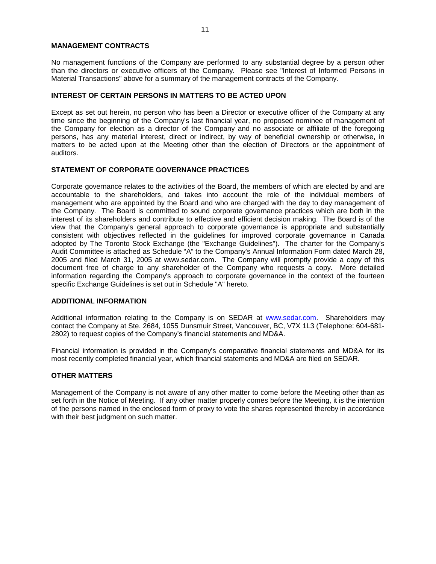#### **MANAGEMENT CONTRACTS**

No management functions of the Company are performed to any substantial degree by a person other than the directors or executive officers of the Company. Please see "Interest of Informed Persons in Material Transactions" above for a summary of the management contracts of the Company.

### **INTEREST OF CERTAIN PERSONS IN MATTERS TO BE ACTED UPON**

Except as set out herein, no person who has been a Director or executive officer of the Company at any time since the beginning of the Company's last financial year, no proposed nominee of management of the Company for election as a director of the Company and no associate or affiliate of the foregoing persons, has any material interest, direct or indirect, by way of beneficial ownership or otherwise, in matters to be acted upon at the Meeting other than the election of Directors or the appointment of auditors.

## **STATEMENT OF CORPORATE GOVERNANCE PRACTICES**

Corporate governance relates to the activities of the Board, the members of which are elected by and are accountable to the shareholders, and takes into account the role of the individual members of management who are appointed by the Board and who are charged with the day to day management of the Company. The Board is committed to sound corporate governance practices which are both in the interest of its shareholders and contribute to effective and efficient decision making. The Board is of the view that the Company's general approach to corporate governance is appropriate and substantially consistent with objectives reflected in the guidelines for improved corporate governance in Canada adopted by The Toronto Stock Exchange (the "Exchange Guidelines"). The charter for the Company's Audit Committee is attached as Schedule "A" to the Company's Annual Information Form dated March 28, 2005 and filed March 31, 2005 at www.sedar.com. The Company will promptly provide a copy of this document free of charge to any shareholder of the Company who requests a copy. More detailed information regarding the Company's approach to corporate governance in the context of the fourteen specific Exchange Guidelines is set out in Schedule "A" hereto.

#### **ADDITIONAL INFORMATION**

Additional information relating to the Company is on SEDAR at www.sedar.com. Shareholders may contact the Company at Ste. 2684, 1055 Dunsmuir Street, Vancouver, BC, V7X 1L3 (Telephone: 604-681- 2802) to request copies of the Company's financial statements and MD&A.

Financial information is provided in the Company's comparative financial statements and MD&A for its most recently completed financial year, which financial statements and MD&A are filed on SEDAR.

## **OTHER MATTERS**

Management of the Company is not aware of any other matter to come before the Meeting other than as set forth in the Notice of Meeting. If any other matter properly comes before the Meeting, it is the intention of the persons named in the enclosed form of proxy to vote the shares represented thereby in accordance with their best judgment on such matter.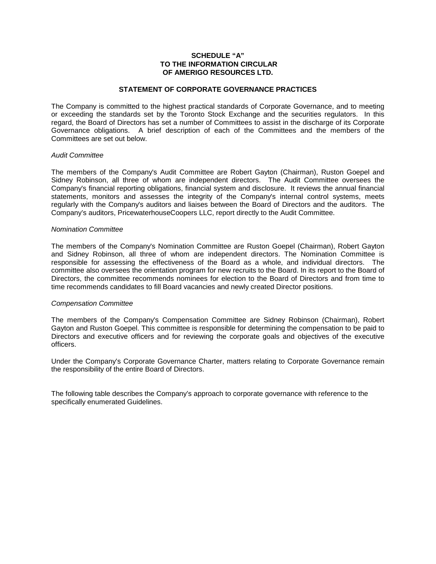## **SCHEDULE "A" TO THE INFORMATION CIRCULAR OF AMERIGO RESOURCES LTD.**

#### **STATEMENT OF CORPORATE GOVERNANCE PRACTICES**

The Company is committed to the highest practical standards of Corporate Governance, and to meeting or exceeding the standards set by the Toronto Stock Exchange and the securities regulators. In this regard, the Board of Directors has set a number of Committees to assist in the discharge of its Corporate Governance obligations. A brief description of each of the Committees and the members of the Committees are set out below.

#### *Audit Committee*

The members of the Company's Audit Committee are Robert Gayton (Chairman), Ruston Goepel and Sidney Robinson, all three of whom are independent directors. The Audit Committee oversees the Company's financial reporting obligations, financial system and disclosure. It reviews the annual financial statements, monitors and assesses the integrity of the Company's internal control systems, meets regularly with the Company's auditors and liaises between the Board of Directors and the auditors. The Company's auditors, PricewaterhouseCoopers LLC, report directly to the Audit Committee.

#### *Nomination Committee*

The members of the Company's Nomination Committee are Ruston Goepel (Chairman), Robert Gayton and Sidney Robinson, all three of whom are independent directors. The Nomination Committee is responsible for assessing the effectiveness of the Board as a whole, and individual directors. The committee also oversees the orientation program for new recruits to the Board. In its report to the Board of Directors, the committee recommends nominees for election to the Board of Directors and from time to time recommends candidates to fill Board vacancies and newly created Director positions.

## *Compensation Committee*

The members of the Company's Compensation Committee are Sidney Robinson (Chairman), Robert Gayton and Ruston Goepel. This committee is responsible for determining the compensation to be paid to Directors and executive officers and for reviewing the corporate goals and objectives of the executive officers.

Under the Company's Corporate Governance Charter, matters relating to Corporate Governance remain the responsibility of the entire Board of Directors.

The following table describes the Company's approach to corporate governance with reference to the specifically enumerated Guidelines.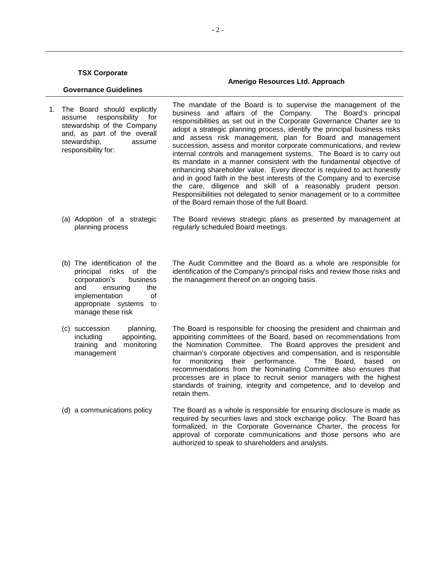#### **Governance Guidelines**  1. The Board should explicitly assume responsibility for stewardship of the Company and, as part of the overall stewardship, assume responsibility for: The mandate of the Board is to supervise the management of the business and affairs of the Company. The Board's principal responsibilities as set out in the Corporate Governance Charter are to adopt a strategic planning process, identify the principal business risks and assess risk management, plan for Board and management succession, assess and monitor corporate communications, and review internal controls and management systems. The Board is to carry out its mandate in a manner consistent with the fundamental objective of enhancing shareholder value. Every director is required to act honestly and in good faith in the best interests of the Company and to exercise the care, diligence and skill of a reasonably prudent person. Responsibilities not delegated to senior management or to a committee of the Board remain those of the full Board. (a) Adoption of a strategic planning process The Board reviews strategic plans as presented by management at regularly scheduled Board meetings. (b) The identification of the principal risks of the corporation's business and ensuring the implementation of appropriate systems to manage these risk The Audit Committee and the Board as a whole are responsible for identification of the Company's principal risks and review those risks and the management thereof on an ongoing basis. (c) succession planning, including appointing, training and monitoring management The Board is responsible for choosing the president and chairman and appointing committees of the Board, based on recommendations from the Nomination Committee. The Board approves the president and chairman's corporate objectives and compensation, and is responsible for monitoring their performance. The Board, based on recommendations from the Nominating Committee also ensures that processes are in place to recruit senior managers with the highest standards of training, integrity and competence, and to develop and

(d) a communications policy The Board as a whole is responsible for ensuring disclosure is made as required by securities laws and stock exchange policy. The Board has formalized, in the Corporate Governance Charter, the process for approval of corporate communications and those persons who are authorized to speak to shareholders and analysts.

retain them.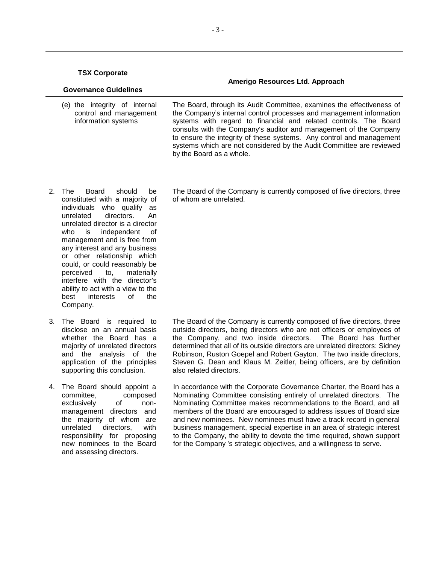| <b>Governance Guidelines</b> |                                                                                | Amerigo Resources Ltd. Approach                                                                                                                                                                                                                                                                                                                               |
|------------------------------|--------------------------------------------------------------------------------|---------------------------------------------------------------------------------------------------------------------------------------------------------------------------------------------------------------------------------------------------------------------------------------------------------------------------------------------------------------|
|                              | (e) the integrity of internal<br>control and management<br>information systems | The Board, through its Audit Committee, examines the effectiveness of<br>the Company's internal control processes and management information<br>systems with regard to financial and related controls. The Board<br>consults with the Company's auditor and management of the Company<br>to ensure the integrity of these systems. Any control and management |

by the Board as a whole.

- 2. The Board should be constituted with a majority of individuals who qualify as unrelated directors. An unrelated director is a director who is independent of management and is free from any interest and any business or other relationship which could, or could reasonably be perceived to, materially interfere with the director's ability to act with a view to the best interests of the Company.
- 3. The Board is required to disclose on an annual basis whether the Board has a majority of unrelated directors and the analysis of the application of the principles supporting this conclusion.
- 4. The Board should appoint a committee, composed exclusively of nonmanagement directors and the majority of whom are unrelated directors, with responsibility for proposing new nominees to the Board and assessing directors.

 The Board of the Company is currently composed of five directors, three of whom are unrelated.

systems which are not considered by the Audit Committee are reviewed

 The Board of the Company is currently composed of five directors, three outside directors, being directors who are not officers or employees of the Company, and two inside directors. The Board has further determined that all of its outside directors are unrelated directors: Sidney Robinson, Ruston Goepel and Robert Gayton. The two inside directors, Steven G. Dean and Klaus M. Zeitler, being officers, are by definition also related directors.

 In accordance with the Corporate Governance Charter, the Board has a Nominating Committee consisting entirely of unrelated directors. The Nominating Committee makes recommendations to the Board, and all members of the Board are encouraged to address issues of Board size and new nominees. New nominees must have a track record in general business management, special expertise in an area of strategic interest to the Company, the ability to devote the time required, shown support for the Company 's strategic objectives, and a willingness to serve.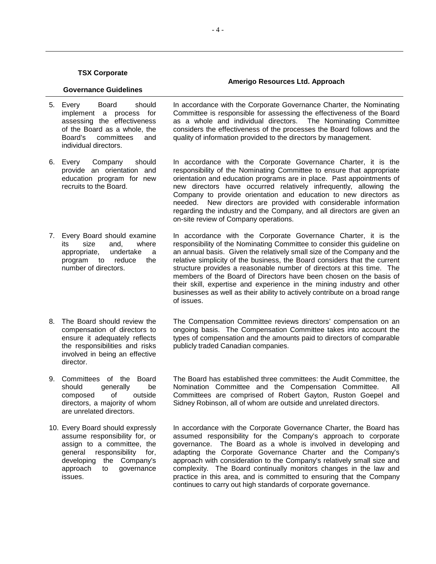## **Governance Guidelines**  5. Every Board should implement a process for assessing the effectiveness of the Board as a whole, the Board's committees and

6. Every Company should provide an orientation and education program for new recruits to the Board.

individual directors.

- 7. Every Board should examine its size and, where appropriate, undertake a program to reduce the number of directors.
- 8. The Board should review the compensation of directors to ensure it adequately reflects the responsibilities and risks involved in being an effective director.
- 9. Committees of the Board should generally be composed of outside directors, a majority of whom are unrelated directors.
- 10. Every Board should expressly assume responsibility for, or assign to a committee, the general responsibility for, developing the Company's approach to governance issues.

 In accordance with the Corporate Governance Charter, the Nominating Committee is responsible for assessing the effectiveness of the Board as a whole and individual directors. The Nominating Committee considers the effectiveness of the processes the Board follows and the quality of information provided to the directors by management.

 In accordance with the Corporate Governance Charter, it is the responsibility of the Nominating Committee to ensure that appropriate orientation and education programs are in place. Past appointments of new directors have occurred relatively infrequently, allowing the Company to provide orientation and education to new directors as needed. New directors are provided with considerable information regarding the industry and the Company, and all directors are given an on-site review of Company operations.

 In accordance with the Corporate Governance Charter, it is the responsibility of the Nominating Committee to consider this guideline on an annual basis. Given the relatively small size of the Company and the relative simplicity of the business, the Board considers that the current structure provides a reasonable number of directors at this time. The members of the Board of Directors have been chosen on the basis of their skill, expertise and experience in the mining industry and other businesses as well as their ability to actively contribute on a broad range of issues.

 The Compensation Committee reviews directors' compensation on an ongoing basis. The Compensation Committee takes into account the types of compensation and the amounts paid to directors of comparable publicly traded Canadian companies.

 The Board has established three committees: the Audit Committee, the Nomination Committee and the Compensation Committee. All Committees are comprised of Robert Gayton, Ruston Goepel and Sidney Robinson, all of whom are outside and unrelated directors.

 In accordance with the Corporate Governance Charter, the Board has assumed responsibility for the Company's approach to corporate governance. The Board as a whole is involved in developing and adapting the Corporate Governance Charter and the Company's approach with consideration to the Company's relatively small size and complexity. The Board continually monitors changes in the law and practice in this area, and is committed to ensuring that the Company continues to carry out high standards of corporate governance.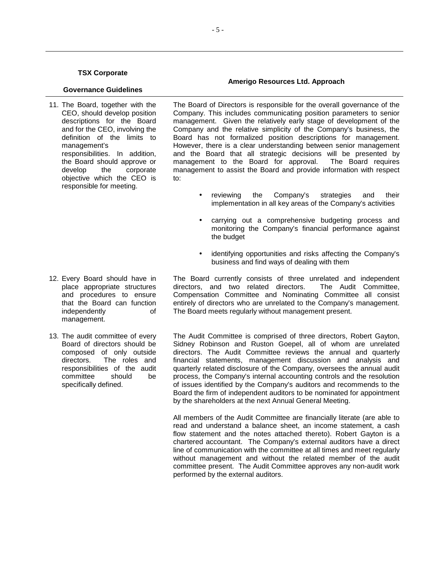#### **Governance Guidelines**

11. The Board, together with the CEO, should develop position descriptions for the Board and for the CEO, involving the definition of the limits to management's responsibilities. In addition, the Board should approve or develop the corporate objective which the CEO is responsible for meeting.

 The Board of Directors is responsible for the overall governance of the Company. This includes communicating position parameters to senior management. Given the relatively early stage of development of the Company and the relative simplicity of the Company's business, the Board has not formalized position descriptions for management. However, there is a clear understanding between senior management and the Board that all strategic decisions will be presented by management to the Board for approval. The Board requires management to assist the Board and provide information with respect to:

- reviewing the Company's strategies and their implementation in all key areas of the Company's activities
- carrying out a comprehensive budgeting process and monitoring the Company's financial performance against the budget
- identifying opportunities and risks affecting the Company's business and find ways of dealing with them

 The Board currently consists of three unrelated and independent directors, and two related directors. The Audit Committee, Compensation Committee and Nominating Committee all consist entirely of directors who are unrelated to the Company's management. The Board meets regularly without management present.

 The Audit Committee is comprised of three directors, Robert Gayton, Sidney Robinson and Ruston Goepel, all of whom are unrelated directors. The Audit Committee reviews the annual and quarterly financial statements, management discussion and analysis and quarterly related disclosure of the Company, oversees the annual audit process, the Company's internal accounting controls and the resolution of issues identified by the Company's auditors and recommends to the Board the firm of independent auditors to be nominated for appointment by the shareholders at the next Annual General Meeting.

All members of the Audit Committee are financially literate (are able to read and understand a balance sheet, an income statement, a cash flow statement and the notes attached thereto). Robert Gayton is a chartered accountant. The Company's external auditors have a direct line of communication with the committee at all times and meet regularly without management and without the related member of the audit committee present. The Audit Committee approves any non-audit work performed by the external auditors.

- 12. Every Board should have in place appropriate structures and procedures to ensure that the Board can function independently of management.
- 13. The audit committee of every Board of directors should be composed of only outside directors. The roles and responsibilities of the audit committee should be specifically defined.